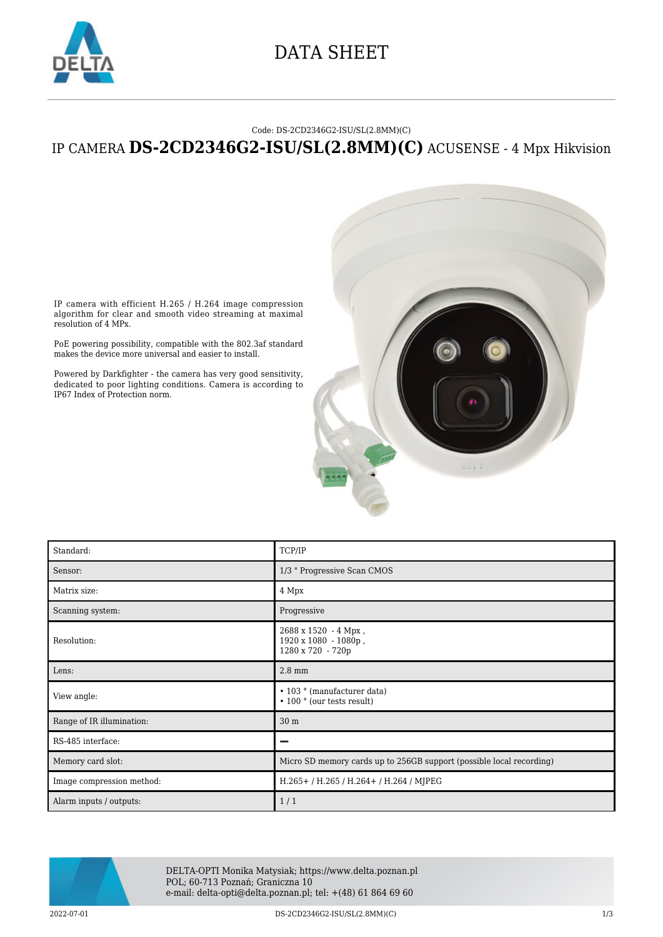

## DATA SHEET

#### Code: DS-2CD2346G2-ISU/SL(2.8MM)(C)

### IP CAMERA **DS-2CD2346G2-ISU/SL(2.8MM)(C)** ACUSENSE - 4 Mpx Hikvision



IP camera with efficient H.265 / H.264 image compression algorithm for clear and smooth video streaming at maximal resolution of 4 MPx.

PoE powering possibility, compatible with the 802.3af standard makes the device more universal and easier to install.

Powered by Darkfighter - the camera has very good sensitivity, dedicated to poor lighting conditions. Camera is according to IP67 Index of Protection norm.

| Standard:                 | TCP/IP                                                                  |
|---------------------------|-------------------------------------------------------------------------|
| Sensor:                   | 1/3 " Progressive Scan CMOS                                             |
| Matrix size:              | 4 Mpx                                                                   |
| Scanning system:          | Progressive                                                             |
| Resolution:               | 2688 x 1520 - 4 Mpx,<br>1920 x 1080 - 1080p,<br>1280 x 720 - 720p       |
| Lens:                     | $2.8 \text{ mm}$                                                        |
| View angle:               | • 103 ° (manufacturer data)<br>$\cdot$ 100 $\degree$ (our tests result) |
| Range of IR illumination: | 30 <sub>m</sub>                                                         |
| RS-485 interface:         | -                                                                       |
| Memory card slot:         | Micro SD memory cards up to 256GB support (possible local recording)    |
| Image compression method: | H.265+/H.265/H.264+/H.264/MJPEG                                         |
| Alarm inputs / outputs:   | 1/1                                                                     |



DELTA-OPTI Monika Matysiak; https://www.delta.poznan.pl POL; 60-713 Poznań; Graniczna 10 e-mail: delta-opti@delta.poznan.pl; tel: +(48) 61 864 69 60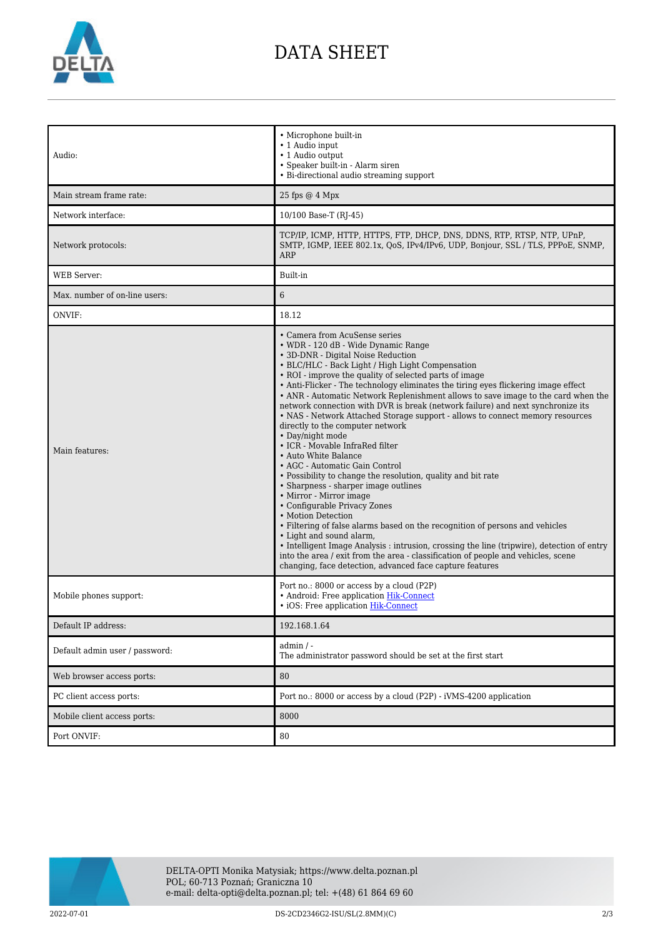

## DATA SHEET

| Audio:<br>Main stream frame rate:<br>Network interface: | • Microphone built-in<br>• 1 Audio input<br>• 1 Audio output<br>• Speaker built-in - Alarm siren<br>• Bi-directional audio streaming support<br>25 fps @ 4 Mpx<br>10/100 Base-T (RJ-45)                                                                                                                                                                                                                                                                                                                                                                                                                                                                                                                                                                                                                                                                                                                                                                                                                                                                                                                                                                                                                                                                                          |
|---------------------------------------------------------|----------------------------------------------------------------------------------------------------------------------------------------------------------------------------------------------------------------------------------------------------------------------------------------------------------------------------------------------------------------------------------------------------------------------------------------------------------------------------------------------------------------------------------------------------------------------------------------------------------------------------------------------------------------------------------------------------------------------------------------------------------------------------------------------------------------------------------------------------------------------------------------------------------------------------------------------------------------------------------------------------------------------------------------------------------------------------------------------------------------------------------------------------------------------------------------------------------------------------------------------------------------------------------|
| Network protocols:                                      | TCP/IP, ICMP, HTTP, HTTPS, FTP, DHCP, DNS, DDNS, RTP, RTSP, NTP, UPnP,<br>SMTP, IGMP, IEEE 802.1x, QoS, IPv4/IPv6, UDP, Bonjour, SSL / TLS, PPPoE, SNMP,<br>ARP                                                                                                                                                                                                                                                                                                                                                                                                                                                                                                                                                                                                                                                                                                                                                                                                                                                                                                                                                                                                                                                                                                                  |
| WEB Server:                                             | Built-in                                                                                                                                                                                                                                                                                                                                                                                                                                                                                                                                                                                                                                                                                                                                                                                                                                                                                                                                                                                                                                                                                                                                                                                                                                                                         |
| Max. number of on-line users:                           | 6                                                                                                                                                                                                                                                                                                                                                                                                                                                                                                                                                                                                                                                                                                                                                                                                                                                                                                                                                                                                                                                                                                                                                                                                                                                                                |
| ONVIF:                                                  | 18.12                                                                                                                                                                                                                                                                                                                                                                                                                                                                                                                                                                                                                                                                                                                                                                                                                                                                                                                                                                                                                                                                                                                                                                                                                                                                            |
| Main features:                                          | • Camera from AcuSense series<br>• WDR - 120 dB - Wide Dynamic Range<br>• 3D-DNR - Digital Noise Reduction<br>• BLC/HLC - Back Light / High Light Compensation<br>• ROI - improve the quality of selected parts of image<br>• Anti-Flicker - The technology eliminates the tiring eyes flickering image effect<br>• ANR - Automatic Network Replenishment allows to save image to the card when the<br>network connection with DVR is break (network failure) and next synchronize its<br>• NAS - Network Attached Storage support - allows to connect memory resources<br>directly to the computer network<br>• Day/night mode<br>• ICR - Movable InfraRed filter<br>• Auto White Balance<br>• AGC - Automatic Gain Control<br>• Possibility to change the resolution, quality and bit rate<br>• Sharpness - sharper image outlines<br>• Mirror - Mirror image<br>• Configurable Privacy Zones<br>• Motion Detection<br>• Filtering of false alarms based on the recognition of persons and vehicles<br>• Light and sound alarm,<br>• Intelligent Image Analysis : intrusion, crossing the line (tripwire), detection of entry<br>into the area / exit from the area - classification of people and vehicles, scene<br>changing, face detection, advanced face capture features |
| Mobile phones support:                                  | Port no.: 8000 or access by a cloud (P2P)<br>• Android: Free application Hik-Connect<br>• iOS: Free application Hik-Connect                                                                                                                                                                                                                                                                                                                                                                                                                                                                                                                                                                                                                                                                                                                                                                                                                                                                                                                                                                                                                                                                                                                                                      |
| Default IP address:                                     | 192.168.1.64                                                                                                                                                                                                                                                                                                                                                                                                                                                                                                                                                                                                                                                                                                                                                                                                                                                                                                                                                                                                                                                                                                                                                                                                                                                                     |
| Default admin user / password:                          | admin / -<br>The administrator password should be set at the first start                                                                                                                                                                                                                                                                                                                                                                                                                                                                                                                                                                                                                                                                                                                                                                                                                                                                                                                                                                                                                                                                                                                                                                                                         |
| Web browser access ports:                               | 80                                                                                                                                                                                                                                                                                                                                                                                                                                                                                                                                                                                                                                                                                                                                                                                                                                                                                                                                                                                                                                                                                                                                                                                                                                                                               |
| PC client access ports:                                 | Port no.: 8000 or access by a cloud (P2P) - iVMS-4200 application                                                                                                                                                                                                                                                                                                                                                                                                                                                                                                                                                                                                                                                                                                                                                                                                                                                                                                                                                                                                                                                                                                                                                                                                                |
| Mobile client access ports:                             | 8000                                                                                                                                                                                                                                                                                                                                                                                                                                                                                                                                                                                                                                                                                                                                                                                                                                                                                                                                                                                                                                                                                                                                                                                                                                                                             |
| Port ONVIF:                                             | 80                                                                                                                                                                                                                                                                                                                                                                                                                                                                                                                                                                                                                                                                                                                                                                                                                                                                                                                                                                                                                                                                                                                                                                                                                                                                               |